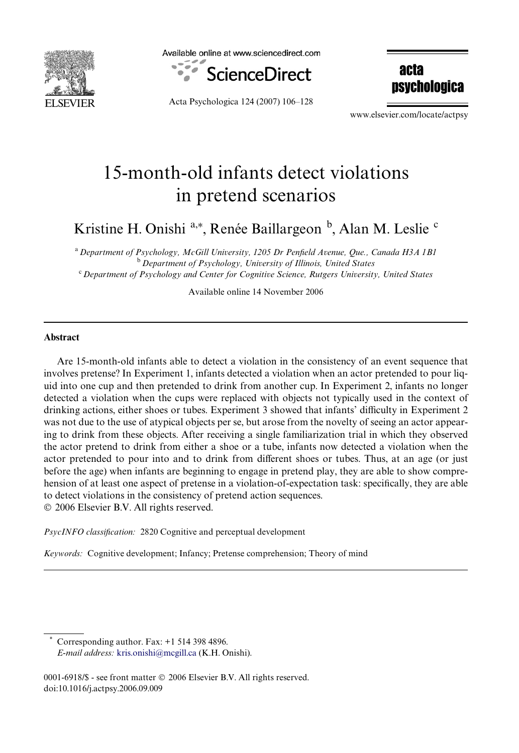

Available online at www.sciencedirect.com



Acta Psychologica 124 (2007) 106–128

acta psychologica

www.elsevier.com/locate/actpsy

# 15-month-old infants detect violations in pretend scenarios

Kristine H. Onishi<sup>a,\*</sup>, Renée Baillargeon <sup>b</sup>, Alan M. Leslie <sup>c</sup>

<sup>a</sup>*Department of Psychology, McGill University, 1205 Dr PenWeld Avenue, Que., Canada H3A 1B1* <sup>b</sup>*Department of Psychology, University of Illinois, United States* <sup>c</sup>*Department of Psychology and Center for Cognitive Science, Rutgers University, United States*

Available online 14 November 2006

#### **Abstract**

Are 15-month-old infants able to detect a violation in the consistency of an event sequence that involves pretense? In Experiment 1, infants detected a violation when an actor pretended to pour liquid into one cup and then pretended to drink from another cup. In Experiment 2, infants no longer detected a violation when the cups were replaced with objects not typically used in the context of drinking actions, either shoes or tubes. Experiment 3 showed that infants' difficulty in Experiment 2 was not due to the use of atypical objects per se, but arose from the novelty of seeing an actor appearing to drink from these objects. After receiving a single familiarization trial in which they observed the actor pretend to drink from either a shoe or a tube, infants now detected a violation when the actor pretended to pour into and to drink from different shoes or tubes. Thus, at an age (or just before the age) when infants are beginning to engage in pretend play, they are able to show comprehension of at least one aspect of pretense in a violation-of-expectation task: specifically, they are able to detect violations in the consistency of pretend action sequences.

© 2006 Elsevier B.V. All rights reserved.

*PsycINFO classification:* 2820 Cognitive and perceptual development

*Keywords:* Cognitive development; Infancy; Pretense comprehension; Theory of mind

Corresponding author. Fax:  $+1$  514 398 4896. *E-mail address:* [kris.onishi@mcgill.ca](mailto: kris.onishi@mcgill.ca) (K.H. Onishi).

0001-6918/\$ - see front matter © 2006 Elsevier B.V. All rights reserved. doi:10.1016/j.actpsy.2006.09.009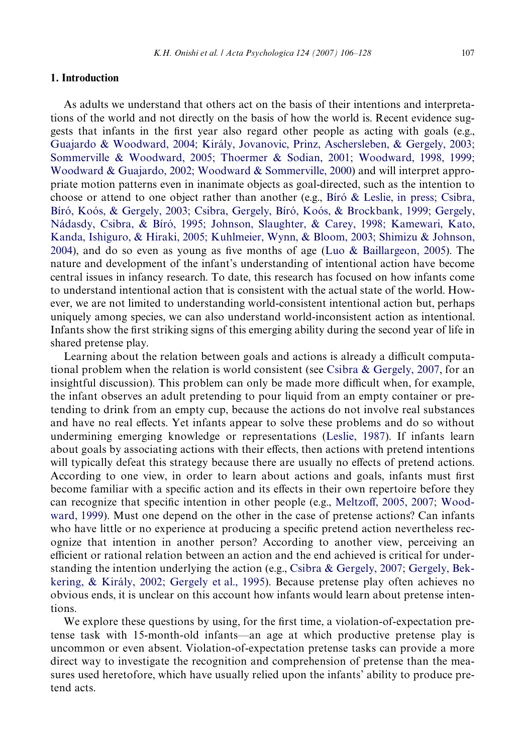#### **1. Introduction**

As adults we understand that others act on the basis of their intentions and interpretations of the world and not directly on the basis of how the world is. Recent evidence suggests that infants in the first year also regard other people as acting with goals (e.g., [Guajardo & Woodward, 2004; Király, Jovanovic, Prinz, Aschersleben, & Gergely, 2003;](#page-21-0) Sommerville & Woodward, 2005; Thoermer & Sodian, 2001; Woodward, 1998, 1999; [Woodward & Guajardo, 2002; Woodward & Sommerville, 2000](#page-21-0)) and will interpret appropriate motion patterns even in inanimate objects as goal-directed, such as the intention to choose or attend to one object rather than another (e.g., [Bíró & Leslie, in press; Csibra,](#page-20-0) [Bíró, Koós, & Gergely, 2003; Csibra, Gergely, Bíró, Koós, & Brockbank, 1999; Gergely,](#page-20-0) Nádasdy, Csibra, & Bíró, 1995; Johnson, Slaughter, & Carey, 1998; Kamewari, Kato, Kanda, Ishiguro, & Hiraki, 2005; Kuhlmeier, Wynn, & Bloom, 2003; Shimizu & Johnson, [2004](#page-20-0)), and do so even as young as five months of age [\(Luo & Baillargeon, 2005](#page-21-1)). The nature and development of the infant's understanding of intentional action have become central issues in infancy research. To date, this research has focused on how infants come to understand intentional action that is consistent with the actual state of the world. However, we are not limited to understanding world-consistent intentional action but, perhaps uniquely among species, we can also understand world-inconsistent action as intentional. Infants show the first striking signs of this emerging ability during the second year of life in shared pretense play.

Learning about the relation between goals and actions is already a difficult computational problem when the relation is world consistent (see [Csibra & Gergely, 2007,](#page-20-1) for an insightful discussion). This problem can only be made more difficult when, for example, the infant observes an adult pretending to pour liquid from an empty container or pretending to drink from an empty cup, because the actions do not involve real substances and have no real effects. Yet infants appear to solve these problems and do so without undermining emerging knowledge or representations [\(Leslie, 1987\)](#page-21-2). If infants learn about goals by associating actions with their effects, then actions with pretend intentions will typically defeat this strategy because there are usually no effects of pretend actions. According to one view, in order to learn about actions and goals, infants must first become familiar with a specific action and its effects in their own repertoire before they can recognize that specific intention in other people (e.g., [Meltzo](#page-21-3)ff[, 2005, 2007; Wood](#page-21-3)[ward, 1999](#page-21-3)). Must one depend on the other in the case of pretense actions? Can infants who have little or no experience at producing a specific pretend action nevertheless recognize that intention in another person? According to another view, perceiving an efficient or rational relation between an action and the end achieved is critical for understanding the intention underlying the action (e.g., [Csibra & Gergely, 2007; Gergely, Bek](#page-20-1)[kering, & Király, 2002; Gergely et al., 1995](#page-20-1)). Because pretense play often achieves no obvious ends, it is unclear on this account how infants would learn about pretense intentions.

We explore these questions by using, for the first time, a violation-of-expectation pretense task with 15-month-old infants—an age at which productive pretense play is uncommon or even absent. Violation-of-expectation pretense tasks can provide a more direct way to investigate the recognition and comprehension of pretense than the measures used heretofore, which have usually relied upon the infants' ability to produce pretend acts.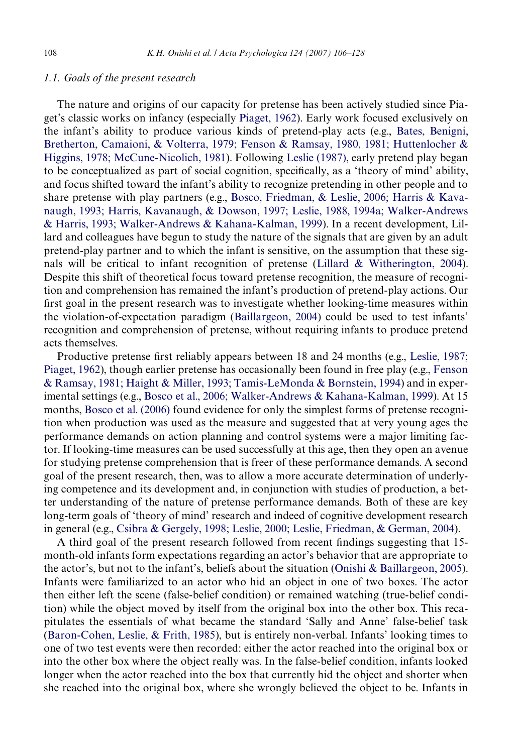#### *1.1. Goals of the present research*

The nature and origins of our capacity for pretense has been actively studied since Piaget's classic works on infancy (especially [Piaget, 1962\)](#page-21-4). Early work focused exclusively on the infant's ability to produce various kinds of pretend-play acts (e.g., [Bates, Benigni,](#page-20-2) [Bretherton, Camaioni, & Volterra, 1979; Fenson & Ramsay, 1980, 1981; Huttenlocher &](#page-20-2) [Higgins, 1978; McCune-Nicolich, 1981\)](#page-20-2). Following [Leslie \(1987\)](#page-21-2), early pretend play began to be conceptualized as part of social cognition, specifically, as a 'theory of mind' ability, and focus shifted toward the infant's ability to recognize pretending in other people and to share pretense with play partners (e.g., [Bosco, Friedman, & Leslie, 2006; Harris & Kava](#page-20-3)[naugh, 1993; Harris, Kavanaugh, & Dowson, 1997; Leslie, 1988, 1994a; Walker-Andrews](#page-20-3) [& Harris, 1993; Walker-Andrews & Kahana-Kalman, 1999\)](#page-20-3). In a recent development, Lillard and colleagues have begun to study the nature of the signals that are given by an adult pretend-play partner and to which the infant is sensitive, on the assumption that these signals will be critical to infant recognition of pretense ([Lillard & Witherington, 2004\)](#page-21-5). Despite this shift of theoretical focus toward pretense recognition, the measure of recognition and comprehension has remained the infant's production of pretend-play actions. Our first goal in the present research was to investigate whether looking-time measures within the violation-of-expectation paradigm [\(Baillargeon, 2004\)](#page-20-4) could be used to test infants' recognition and comprehension of pretense, without requiring infants to produce pretend acts themselves.

Productive pretense first reliably appears between 18 and 24 months (e.g., [Leslie, 1987;](#page-21-2) [Piaget, 1962\)](#page-21-2), though earlier pretense has occasionally been found in free play (e.g., [Fenson](#page-20-5) [& Ramsay, 1981; Haight & Miller, 1993; Tamis-LeMonda & Bornstein, 1994\)](#page-20-5) and in experimental settings (e.g., [Bosco et al., 2006; Walker-Andrews & Kahana-Kalman, 1999\)](#page-20-3). At 15 months, [Bosco et al. \(2006\)](#page-20-3) found evidence for only the simplest forms of pretense recognition when production was used as the measure and suggested that at very young ages the performance demands on action planning and control systems were a major limiting factor. If looking-time measures can be used successfully at this age, then they open an avenue for studying pretense comprehension that is freer of these performance demands. A second goal of the present research, then, was to allow a more accurate determination of underlying competence and its development and, in conjunction with studies of production, a better understanding of the nature of pretense performance demands. Both of these are key long-term goals of 'theory of mind' research and indeed of cognitive development research in general (e.g., [Csibra & Gergely, 1998; Leslie, 2000; Leslie, Friedman, & German, 2004](#page-20-6)).

A third goal of the present research followed from recent findings suggesting that 15month-old infants form expectations regarding an actor's behavior that are appropriate to the actor's, but not to the infant's, beliefs about the situation [\(Onishi & Baillargeon, 2005\)](#page-21-6). Infants were familiarized to an actor who hid an object in one of two boxes. The actor then either left the scene (false-belief condition) or remained watching (true-belief condition) while the object moved by itself from the original box into the other box. This recapitulates the essentials of what became the standard 'Sally and Anne' false-belief task ([Baron-Cohen, Leslie, & Frith, 1985](#page-20-7)), but is entirely non-verbal. Infants' looking times to one of two test events were then recorded: either the actor reached into the original box or into the other box where the object really was. In the false-belief condition, infants looked longer when the actor reached into the box that currently hid the object and shorter when she reached into the original box, where she wrongly believed the object to be. Infants in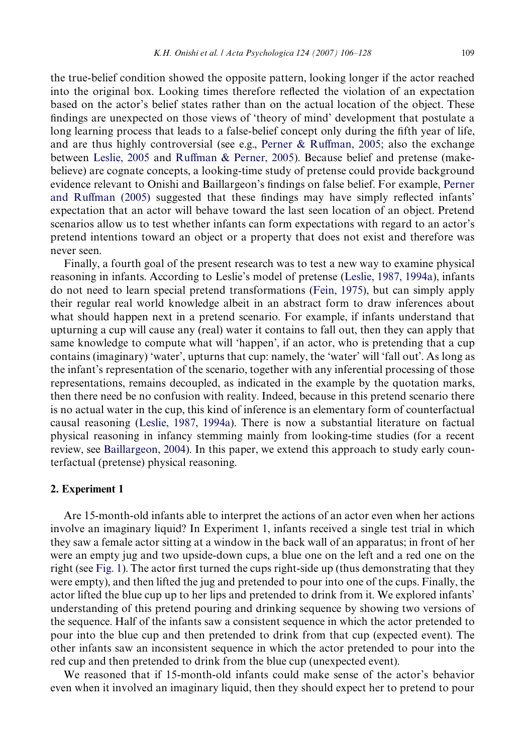the true-belief condition showed the opposite pattern, looking longer if the actor reached into the original box. Looking times therefore reflected the violation of an expectation based on the actor's belief states rather than on the actual location of the object. These findings are unexpected on those views of 'theory of mind' development that postulate a long learning process that leads to a false-belief concept only during the fifth year of life, and are thus highly controversial (see e.g., [Perner & Ru](#page-21-7)ff[man, 2005;](#page-21-7) also the exchange between [Leslie, 2005](#page-21-8) and [Ru](#page-21-9)ff[man & Perner, 2005](#page-21-9)). Because belief and pretense (makebelieve) are cognate concepts, a looking-time study of pretense could provide background evidence relevant to Onishi and Baillargeon's findings on false belief. For example, [Perner](#page-21-7) [and Ru](#page-21-7)ff[man \(2005\)](#page-21-7) suggested that these findings may have simply reflected infants' expectation that an actor will behave toward the last seen location of an object. Pretend scenarios allow us to test whether infants can form expectations with regard to an actor's pretend intentions toward an object or a property that does not exist and therefore was never seen.

Finally, a fourth goal of the present research was to test a new way to examine physical reasoning in infants. According to Leslie's model of pretense ([Leslie, 1987, 1994a\)](#page-21-2), infants do not need to learn special pretend transformations [\(Fein, 1975](#page-20-8)), but can simply apply their regular real world knowledge albeit in an abstract form to draw inferences about what should happen next in a pretend scenario. For example, if infants understand that upturning a cup will cause any (real) water it contains to fall out, then they can apply that same knowledge to compute what will 'happen', if an actor, who is pretending that a cup contains (imaginary) 'water', upturns that cup: namely, the 'water' will 'fall out'. As long as the infant's representation of the scenario, together with any inferential processing of those representations, remains decoupled, as indicated in the example by the quotation marks, then there need be no confusion with reality. Indeed, because in this pretend scenario there is no actual water in the cup, this kind of inference is an elementary form of counterfactual causal reasoning [\(Leslie, 1987, 1994a\)](#page-21-2). There is now a substantial literature on factual physical reasoning in infancy stemming mainly from looking-time studies (for a recent review, see [Baillargeon, 2004\)](#page-20-4). In this paper, we extend this approach to study early counterfactual (pretense) physical reasoning.

## **2. Experiment 1**

Are 15-month-old infants able to interpret the actions of an actor even when her actions involve an imaginary liquid? In Experiment 1, infants received a single test trial in which they saw a female actor sitting at a window in the back wall of an apparatus; in front of her were an empty jug and two upside-down cups, a blue one on the left and a red one on the right (see [Fig. 1](#page-4-0)). The actor first turned the cups right-side up (thus demonstrating that they were empty), and then lifted the jug and pretended to pour into one of the cups. Finally, the actor lifted the blue cup up to her lips and pretended to drink from it. We explored infants' understanding of this pretend pouring and drinking sequence by showing two versions of the sequence. Half of the infants saw a consistent sequence in which the actor pretended to pour into the blue cup and then pretended to drink from that cup (expected event). The other infants saw an inconsistent sequence in which the actor pretended to pour into the red cup and then pretended to drink from the blue cup (unexpected event).

We reasoned that if 15-month-old infants could make sense of the actor's behavior even when it involved an imaginary liquid, then they should expect her to pretend to pour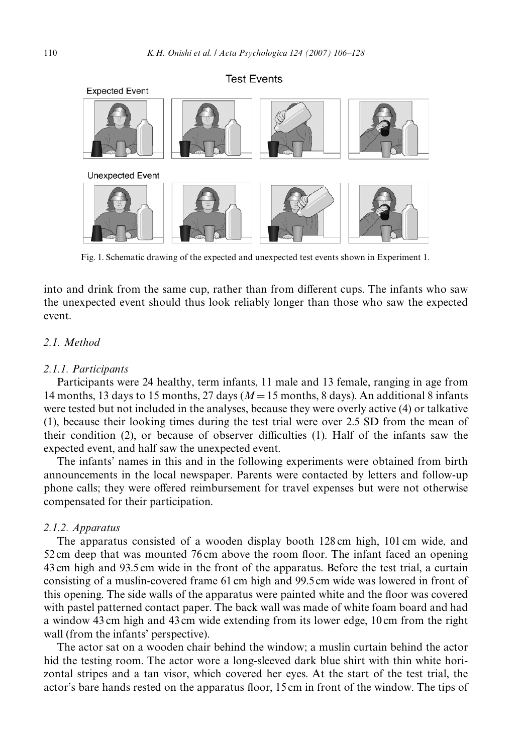

Fig. 1. Schematic drawing of the expected and unexpected test events shown in Experiment 1.

<span id="page-4-0"></span>into and drink from the same cup, rather than from different cups. The infants who saw the unexpected event should thus look reliably longer than those who saw the expected event.

# *2.1. Method*

#### *2.1.1. Participants*

Participants were 24 healthy, term infants, 11 male and 13 female, ranging in age from 14 months, 13 days to 15 months, 27 days ( $M=15$  months, 8 days). An additional 8 infants were tested but not included in the analyses, because they were overly active (4) or talkative (1), because their looking times during the test trial were over 2.5 SD from the mean of their condition  $(2)$ , or because of observer difficulties  $(1)$ . Half of the infants saw the expected event, and half saw the unexpected event.

The infants' names in this and in the following experiments were obtained from birth announcements in the local newspaper. Parents were contacted by letters and follow-up phone calls; they were offered reimbursement for travel expenses but were not otherwise compensated for their participation.

#### *2.1.2. Apparatus*

The apparatus consisted of a wooden display booth 128 cm high, 101 cm wide, and  $52 \text{ cm}$  deep that was mounted 76 cm above the room floor. The infant faced an opening 43 cm high and 93.5 cm wide in the front of the apparatus. Before the test trial, a curtain consisting of a muslin-covered frame 61 cm high and 99.5 cm wide was lowered in front of this opening. The side walls of the apparatus were painted white and the floor was covered with pastel patterned contact paper. The back wall was made of white foam board and had a window 43 cm high and 43 cm wide extending from its lower edge, 10 cm from the right wall (from the infants' perspective).

The actor sat on a wooden chair behind the window; a muslin curtain behind the actor hid the testing room. The actor wore a long-sleeved dark blue shirt with thin white horizontal stripes and a tan visor, which covered her eyes. At the start of the test trial, the actor's bare hands rested on the apparatus floor, 15 cm in front of the window. The tips of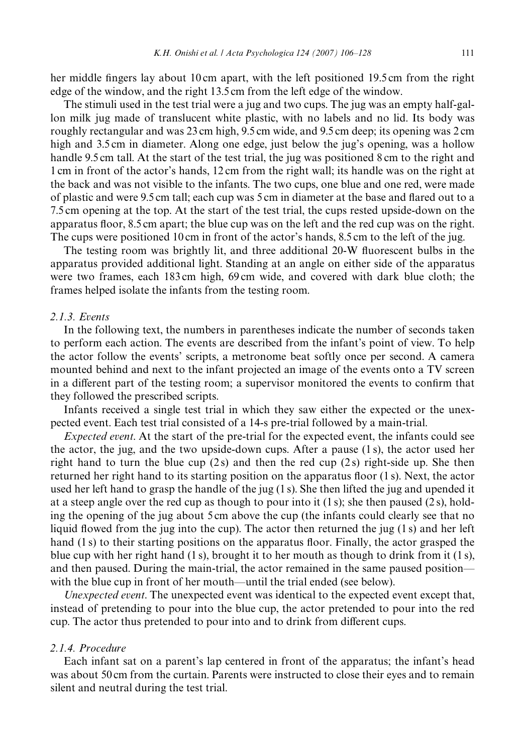her middle fingers lay about 10 cm apart, with the left positioned 19.5 cm from the right edge of the window, and the right 13.5 cm from the left edge of the window.

The stimuli used in the test trial were a jug and two cups. The jug was an empty half-gallon milk jug made of translucent white plastic, with no labels and no lid. Its body was roughly rectangular and was 23 cm high, 9.5 cm wide, and 9.5 cm deep; its opening was 2 cm high and 3.5 cm in diameter. Along one edge, just below the jug's opening, was a hollow handle 9.5 cm tall. At the start of the test trial, the jug was positioned 8 cm to the right and 1 cm in front of the actor's hands, 12 cm from the right wall; its handle was on the right at the back and was not visible to the infants. The two cups, one blue and one red, were made of plastic and were 9.5 cm tall; each cup was 5 cm in diameter at the base and flared out to a 7.5 cm opening at the top. At the start of the test trial, the cups rested upside-down on the apparatus floor, 8.5 cm apart; the blue cup was on the left and the red cup was on the right. The cups were positioned 10 cm in front of the actor's hands, 8.5 cm to the left of the jug.

The testing room was brightly lit, and three additional 20-W fluorescent bulbs in the apparatus provided additional light. Standing at an angle on either side of the apparatus were two frames, each 183 cm high, 69 cm wide, and covered with dark blue cloth; the frames helped isolate the infants from the testing room.

## *2.1.3. Events*

In the following text, the numbers in parentheses indicate the number of seconds taken to perform each action. The events are described from the infant's point of view. To help the actor follow the events' scripts, a metronome beat softly once per second. A camera mounted behind and next to the infant projected an image of the events onto a TV screen in a different part of the testing room; a supervisor monitored the events to confirm that they followed the prescribed scripts.

Infants received a single test trial in which they saw either the expected or the unexpected event. Each test trial consisted of a 14-s pre-trial followed by a main-trial.

*Expected event*. At the start of the pre-trial for the expected event, the infants could see the actor, the jug, and the two upside-down cups. After a pause (1 s), the actor used her right hand to turn the blue cup  $(2s)$  and then the red cup  $(2s)$  right-side up. She then returned her right hand to its starting position on the apparatus floor  $(1 s)$ . Next, the actor used her left hand to grasp the handle of the jug (1 s). She then lifted the jug and upended it at a steep angle over the red cup as though to pour into it  $(1 s)$ ; she then paused  $(2 s)$ , holding the opening of the jug about 5 cm above the cup (the infants could clearly see that no liquid flowed from the jug into the cup). The actor then returned the jug  $(1 s)$  and her left hand (1 s) to their starting positions on the apparatus floor. Finally, the actor grasped the blue cup with her right hand  $(1 \text{ s})$ , brought it to her mouth as though to drink from it  $(1 \text{ s})$ , and then paused. During the main-trial, the actor remained in the same paused position with the blue cup in front of her mouth—until the trial ended (see below).

*Unexpected event*. The unexpected event was identical to the expected event except that, instead of pretending to pour into the blue cup, the actor pretended to pour into the red cup. The actor thus pretended to pour into and to drink from different cups.

# *2.1.4. Procedure*

Each infant sat on a parent's lap centered in front of the apparatus; the infant's head was about 50 cm from the curtain. Parents were instructed to close their eyes and to remain silent and neutral during the test trial.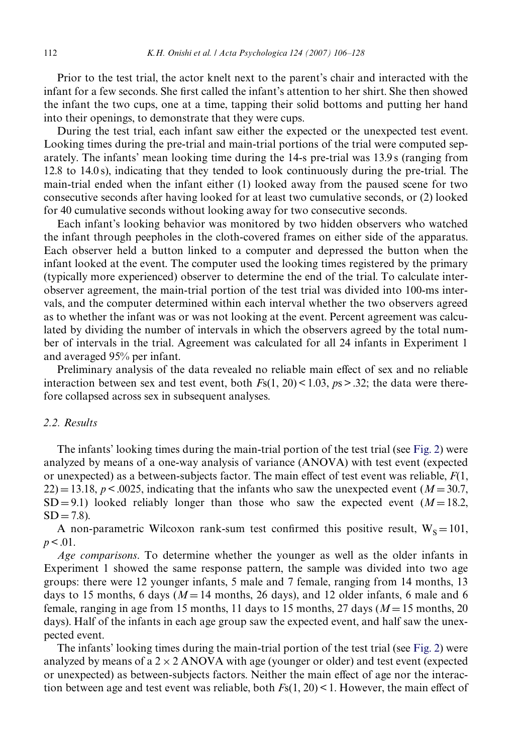Prior to the test trial, the actor knelt next to the parent's chair and interacted with the infant for a few seconds. She first called the infant's attention to her shirt. She then showed the infant the two cups, one at a time, tapping their solid bottoms and putting her hand into their openings, to demonstrate that they were cups.

During the test trial, each infant saw either the expected or the unexpected test event. Looking times during the pre-trial and main-trial portions of the trial were computed separately. The infants' mean looking time during the 14-s pre-trial was 13.9 s (ranging from 12.8 to 14.0 s), indicating that they tended to look continuously during the pre-trial. The main-trial ended when the infant either (1) looked away from the paused scene for two consecutive seconds after having looked for at least two cumulative seconds, or (2) looked for 40 cumulative seconds without looking away for two consecutive seconds.

Each infant's looking behavior was monitored by two hidden observers who watched the infant through peepholes in the cloth-covered frames on either side of the apparatus. Each observer held a button linked to a computer and depressed the button when the infant looked at the event. The computer used the looking times registered by the primary (typically more experienced) observer to determine the end of the trial. To calculate interobserver agreement, the main-trial portion of the test trial was divided into 100-ms intervals, and the computer determined within each interval whether the two observers agreed as to whether the infant was or was not looking at the event. Percent agreement was calculated by dividing the number of intervals in which the observers agreed by the total number of intervals in the trial. Agreement was calculated for all 24 infants in Experiment 1 and averaged 95% per infant.

Preliminary analysis of the data revealed no reliable main effect of sex and no reliable interaction between sex and test event, both  $Fs(1, 20) < 1.03$ ,  $ps > .32$ ; the data were therefore collapsed across sex in subsequent analyses.

## *2.2. Results*

The infants' looking times during the main-trial portion of the test trial (see [Fig. 2\)](#page-7-0) were analyzed by means of a one-way analysis of variance (ANOVA) with test event (expected or unexpected) as a between-subjects factor. The main effect of test event was reliable,  $F(1)$ ,  $22$ ) = 13.18, *p* < .0025, indicating that the infants who saw the unexpected event (*M* = 30.7,  $SD = 9.1$ ) looked reliably longer than those who saw the expected event  $(M = 18.2$ ,  $SD = 7.8$ ).

A non-parametric Wilcoxon rank-sum test confirmed this positive result,  $W_s = 101$ ,  $p < .01$ .

*Age comparisons*. To determine whether the younger as well as the older infants in Experiment 1 showed the same response pattern, the sample was divided into two age groups: there were 12 younger infants, 5 male and 7 female, ranging from 14 months, 13 days to 15 months, 6 days ( $M = 14$  months, 26 days), and 12 older infants, 6 male and 6 female, ranging in age from 15 months, 11 days to 15 months, 27 days ( $M = 15$  months, 20 days). Half of the infants in each age group saw the expected event, and half saw the unexpected event.

The infants' looking times during the main-trial portion of the test trial (see [Fig. 2\)](#page-7-0) were analyzed by means of a  $2 \times 2$  ANOVA with age (younger or older) and test event (expected or unexpected) as between-subjects factors. Neither the main effect of age nor the interaction between age and test event was reliable, both  $F<sub>S</sub>(1, 20) < 1$ . However, the main effect of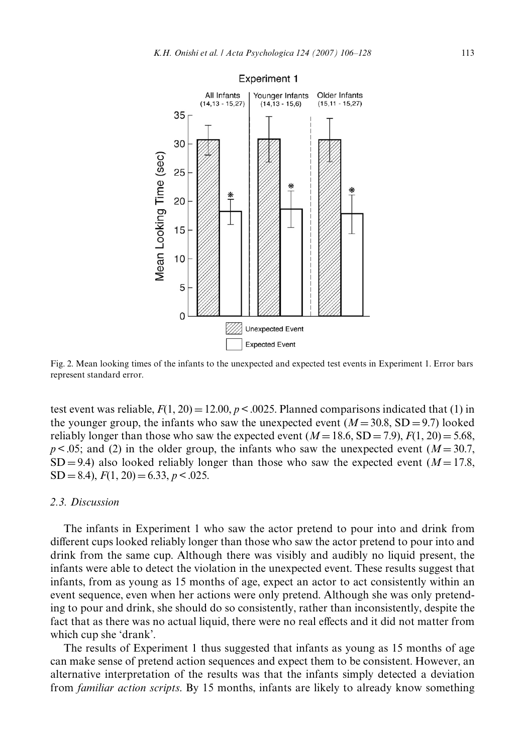

<span id="page-7-0"></span>Fig. 2. Mean looking times of the infants to the unexpected and expected test events in Experiment 1. Error bars represent standard error.

test event was reliable,  $F(1, 20) = 12.00$ ,  $p < .0025$ . Planned comparisons indicated that (1) in the younger group, the infants who saw the unexpected event  $(M=30.8, SD=9.7)$  looked reliably longer than those who saw the expected event  $(M=18.6, SD=7.9)$ ,  $F(1, 20) = 5.68$ ,  $p < .05$ ; and (2) in the older group, the infants who saw the unexpected event ( $M = 30.7$ ,  $SD = 9.4$ ) also looked reliably longer than those who saw the expected event ( $M = 17.8$ ,  $SD = 8.4$ ),  $F(1, 20) = 6.33$ ,  $p < .025$ .

## *2.3. Discussion*

The infants in Experiment 1 who saw the actor pretend to pour into and drink from different cups looked reliably longer than those who saw the actor pretend to pour into and drink from the same cup. Although there was visibly and audibly no liquid present, the infants were able to detect the violation in the unexpected event. These results suggest that infants, from as young as 15 months of age, expect an actor to act consistently within an event sequence, even when her actions were only pretend. Although she was only pretending to pour and drink, she should do so consistently, rather than inconsistently, despite the fact that as there was no actual liquid, there were no real effects and it did not matter from which cup she 'drank'.

The results of Experiment 1 thus suggested that infants as young as 15 months of age can make sense of pretend action sequences and expect them to be consistent. However, an alternative interpretation of the results was that the infants simply detected a deviation from *familiar action scripts*. By 15 months, infants are likely to already know something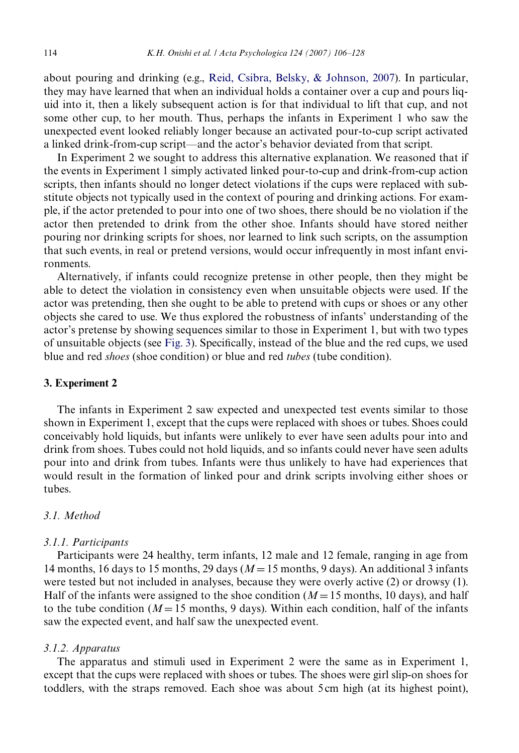about pouring and drinking (e.g., [Reid, Csibra, Belsky, & Johnson, 2007](#page-21-10)). In particular, they may have learned that when an individual holds a container over a cup and pours liquid into it, then a likely subsequent action is for that individual to lift that cup, and not some other cup, to her mouth. Thus, perhaps the infants in Experiment 1 who saw the unexpected event looked reliably longer because an activated pour-to-cup script activated a linked drink-from-cup script—and the actor's behavior deviated from that script.

In Experiment 2 we sought to address this alternative explanation. We reasoned that if the events in Experiment 1 simply activated linked pour-to-cup and drink-from-cup action scripts, then infants should no longer detect violations if the cups were replaced with substitute objects not typically used in the context of pouring and drinking actions. For example, if the actor pretended to pour into one of two shoes, there should be no violation if the actor then pretended to drink from the other shoe. Infants should have stored neither pouring nor drinking scripts for shoes, nor learned to link such scripts, on the assumption that such events, in real or pretend versions, would occur infrequently in most infant environments.

Alternatively, if infants could recognize pretense in other people, then they might be able to detect the violation in consistency even when unsuitable objects were used. If the actor was pretending, then she ought to be able to pretend with cups or shoes or any other objects she cared to use. We thus explored the robustness of infants' understanding of the actor's pretense by showing sequences similar to those in Experiment 1, but with two types of unsuitable objects (see [Fig. 3](#page-9-0)). Specifically, instead of the blue and the red cups, we used blue and red *shoes* (shoe condition) or blue and red *tubes* (tube condition).

## **3. Experiment 2**

The infants in Experiment 2 saw expected and unexpected test events similar to those shown in Experiment 1, except that the cups were replaced with shoes or tubes. Shoes could conceivably hold liquids, but infants were unlikely to ever have seen adults pour into and drink from shoes. Tubes could not hold liquids, and so infants could never have seen adults pour into and drink from tubes. Infants were thus unlikely to have had experiences that would result in the formation of linked pour and drink scripts involving either shoes or tubes.

## *3.1. Method*

#### *3.1.1. Participants*

Participants were 24 healthy, term infants, 12 male and 12 female, ranging in age from 14 months, 16 days to 15 months, 29 days  $(M=15 \text{ months}, 9 \text{ days})$ . An additional 3 infants were tested but not included in analyses, because they were overly active (2) or drowsy (1). Half of the infants were assigned to the shoe condition ( $M=15$  months, 10 days), and half to the tube condition ( $M=15$  months, 9 days). Within each condition, half of the infants saw the expected event, and half saw the unexpected event.

#### *3.1.2. Apparatus*

The apparatus and stimuli used in Experiment 2 were the same as in Experiment 1, except that the cups were replaced with shoes or tubes. The shoes were girl slip-on shoes for toddlers, with the straps removed. Each shoe was about 5 cm high (at its highest point),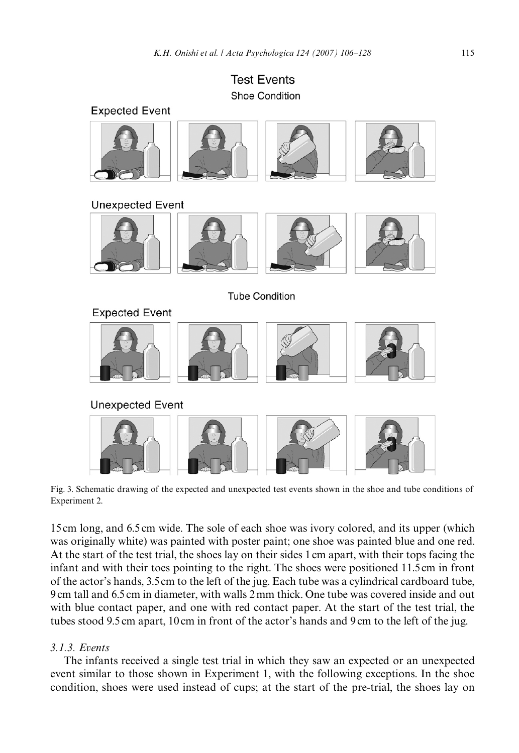**Test Events Shoe Condition** 



**Unexpected Event** 



**Tube Condition** 



**Unexpected Event** 



Fig. 3. Schematic drawing of the expected and unexpected test events shown in the shoe and tube conditions of Experiment 2.

<span id="page-9-0"></span>15 cm long, and 6.5 cm wide. The sole of each shoe was ivory colored, and its upper (which was originally white) was painted with poster paint; one shoe was painted blue and one red. At the start of the test trial, the shoes lay on their sides 1 cm apart, with their tops facing the infant and with their toes pointing to the right. The shoes were positioned 11.5 cm in front of the actor's hands, 3.5 cm to the left of the jug. Each tube was a cylindrical cardboard tube, 9 cm tall and 6.5 cm in diameter, with walls 2 mm thick. One tube was covered inside and out with blue contact paper, and one with red contact paper. At the start of the test trial, the tubes stood 9.5 cm apart, 10 cm in front of the actor's hands and 9 cm to the left of the jug.

# *3.1.3. Events*

The infants received a single test trial in which they saw an expected or an unexpected event similar to those shown in Experiment 1, with the following exceptions. In the shoe condition, shoes were used instead of cups; at the start of the pre-trial, the shoes lay on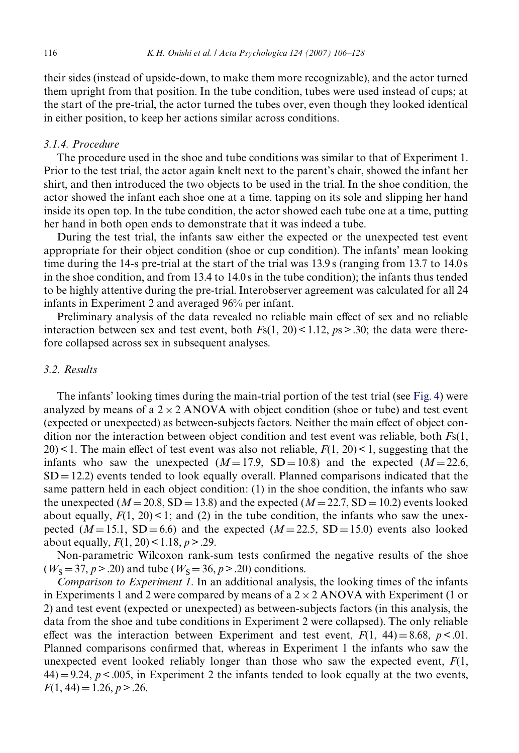their sides (instead of upside-down, to make them more recognizable), and the actor turned them upright from that position. In the tube condition, tubes were used instead of cups; at the start of the pre-trial, the actor turned the tubes over, even though they looked identical in either position, to keep her actions similar across conditions.

## *3.1.4. Procedure*

The procedure used in the shoe and tube conditions was similar to that of Experiment 1. Prior to the test trial, the actor again knelt next to the parent's chair, showed the infant her shirt, and then introduced the two objects to be used in the trial. In the shoe condition, the actor showed the infant each shoe one at a time, tapping on its sole and slipping her hand inside its open top. In the tube condition, the actor showed each tube one at a time, putting her hand in both open ends to demonstrate that it was indeed a tube.

During the test trial, the infants saw either the expected or the unexpected test event appropriate for their object condition (shoe or cup condition). The infants' mean looking time during the 14-s pre-trial at the start of the trial was 13.9 s (ranging from 13.7 to 14.0 s in the shoe condition, and from 13.4 to 14.0 s in the tube condition); the infants thus tended to be highly attentive during the pre-trial. Interobserver agreement was calculated for all 24 infants in Experiment 2 and averaged 96% per infant.

Preliminary analysis of the data revealed no reliable main effect of sex and no reliable interaction between sex and test event, both *F*s(1, 20) < 1.12, *p*s > .30; the data were therefore collapsed across sex in subsequent analyses.

## *3.2. Results*

The infants' looking times during the main-trial portion of the test trial (see [Fig. 4\)](#page-11-0) were analyzed by means of a  $2 \times 2$  ANOVA with object condition (shoe or tube) and test event (expected or unexpected) as between-subjects factors. Neither the main effect of object condition nor the interaction between object condition and test event was reliable, both *F*s(1,  $20$  < 1. The main effect of test event was also not reliable,  $F(1, 20)$  < 1, suggesting that the infants who saw the unexpected  $(M=17.9, SD=10.8)$  and the expected  $(M=22.6,$  $SD = 12.2$ ) events tended to look equally overall. Planned comparisons indicated that the same pattern held in each object condition: (1) in the shoe condition, the infants who saw the unexpected ( $M = 20.8$ , SD = 13.8) and the expected ( $M = 22.7$ , SD = 10.2) events looked about equally,  $F(1, 20) < 1$ ; and (2) in the tube condition, the infants who saw the unexpected  $(M=15.1, SD=6.6)$  and the expected  $(M=22.5, SD=15.0)$  events also looked about equally,  $F(1, 20) < 1.18$ ,  $p > .29$ .

Non-parametric Wilcoxon rank-sum tests confirmed the negative results of the shoe  $(W<sub>S</sub> = 37, p > .20)$  and tube  $(W<sub>S</sub> = 36, p > .20)$  conditions.

*Comparison to Experiment 1*. In an additional analysis, the looking times of the infants in Experiments 1 and 2 were compared by means of a  $2 \times 2$  ANOVA with Experiment (1 or 2) and test event (expected or unexpected) as between-subjects factors (in this analysis, the data from the shoe and tube conditions in Experiment 2 were collapsed). The only reliable effect was the interaction between Experiment and test event,  $F(1, 44) = 8.68$ ,  $p < 0.01$ . Planned comparisons confirmed that, whereas in Experiment 1 the infants who saw the unexpected event looked reliably longer than those who saw the expected event, *F*(1,  $44$ ) = 9.24,  $p < .005$ , in Experiment 2 the infants tended to look equally at the two events,  $F(1, 44) = 1.26, p > 0.26.$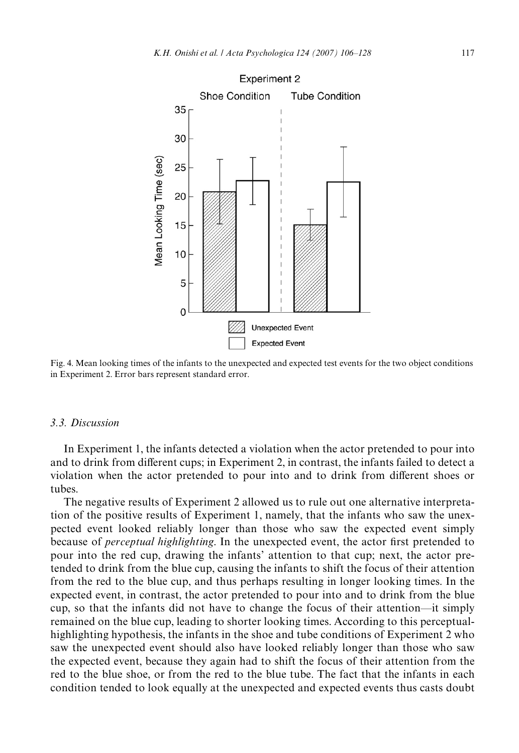

<span id="page-11-0"></span>Fig. 4. Mean looking times of the infants to the unexpected and expected test events for the two object conditions in Experiment 2. Error bars represent standard error.

### *3.3. Discussion*

In Experiment 1, the infants detected a violation when the actor pretended to pour into and to drink from different cups; in Experiment 2, in contrast, the infants failed to detect a violation when the actor pretended to pour into and to drink from different shoes or tubes.

The negative results of Experiment 2 allowed us to rule out one alternative interpretation of the positive results of Experiment 1, namely, that the infants who saw the unexpected event looked reliably longer than those who saw the expected event simply because of *perceptual highlighting*. In the unexpected event, the actor first pretended to pour into the red cup, drawing the infants' attention to that cup; next, the actor pretended to drink from the blue cup, causing the infants to shift the focus of their attention from the red to the blue cup, and thus perhaps resulting in longer looking times. In the expected event, in contrast, the actor pretended to pour into and to drink from the blue cup, so that the infants did not have to change the focus of their attention—it simply remained on the blue cup, leading to shorter looking times. According to this perceptualhighlighting hypothesis, the infants in the shoe and tube conditions of Experiment 2 who saw the unexpected event should also have looked reliably longer than those who saw the expected event, because they again had to shift the focus of their attention from the red to the blue shoe, or from the red to the blue tube. The fact that the infants in each condition tended to look equally at the unexpected and expected events thus casts doubt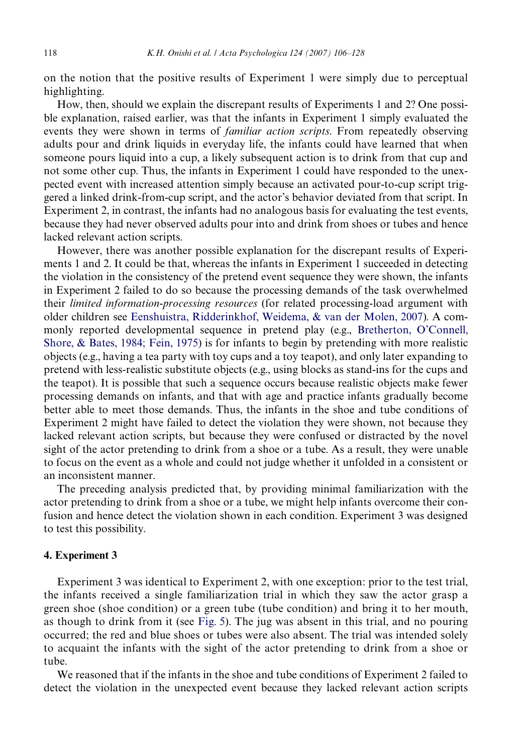on the notion that the positive results of Experiment 1 were simply due to perceptual highlighting.

How, then, should we explain the discrepant results of Experiments 1 and 2? One possible explanation, raised earlier, was that the infants in Experiment 1 simply evaluated the events they were shown in terms of *familiar action scripts*. From repeatedly observing adults pour and drink liquids in everyday life, the infants could have learned that when someone pours liquid into a cup, a likely subsequent action is to drink from that cup and not some other cup. Thus, the infants in Experiment 1 could have responded to the unexpected event with increased attention simply because an activated pour-to-cup script triggered a linked drink-from-cup script, and the actor's behavior deviated from that script. In Experiment 2, in contrast, the infants had no analogous basis for evaluating the test events, because they had never observed adults pour into and drink from shoes or tubes and hence lacked relevant action scripts.

However, there was another possible explanation for the discrepant results of Experiments 1 and 2. It could be that, whereas the infants in Experiment 1 succeeded in detecting the violation in the consistency of the pretend event sequence they were shown, the infants in Experiment 2 failed to do so because the processing demands of the task overwhelmed their *limited information-processing resources* (for related processing-load argument with older children see [Eenshuistra, Ridderinkhof, Weidema, & van der Molen, 2007\)](#page-20-9). A commonly reported developmental sequence in pretend play (e.g., [Bretherton, O'Connell,](#page-20-10) [Shore, & Bates, 1984; Fein, 1975\)](#page-20-10) is for infants to begin by pretending with more realistic objects (e.g., having a tea party with toy cups and a toy teapot), and only later expanding to pretend with less-realistic substitute objects (e.g., using blocks as stand-ins for the cups and the teapot). It is possible that such a sequence occurs because realistic objects make fewer processing demands on infants, and that with age and practice infants gradually become better able to meet those demands. Thus, the infants in the shoe and tube conditions of Experiment 2 might have failed to detect the violation they were shown, not because they lacked relevant action scripts, but because they were confused or distracted by the novel sight of the actor pretending to drink from a shoe or a tube. As a result, they were unable to focus on the event as a whole and could not judge whether it unfolded in a consistent or an inconsistent manner.

The preceding analysis predicted that, by providing minimal familiarization with the actor pretending to drink from a shoe or a tube, we might help infants overcome their confusion and hence detect the violation shown in each condition. Experiment 3 was designed to test this possibility.

#### **4. Experiment 3**

Experiment 3 was identical to Experiment 2, with one exception: prior to the test trial, the infants received a single familiarization trial in which they saw the actor grasp a green shoe (shoe condition) or a green tube (tube condition) and bring it to her mouth, as though to drink from it (see [Fig. 5](#page-13-0)). The jug was absent in this trial, and no pouring occurred; the red and blue shoes or tubes were also absent. The trial was intended solely to acquaint the infants with the sight of the actor pretending to drink from a shoe or tube.

We reasoned that if the infants in the shoe and tube conditions of Experiment 2 failed to detect the violation in the unexpected event because they lacked relevant action scripts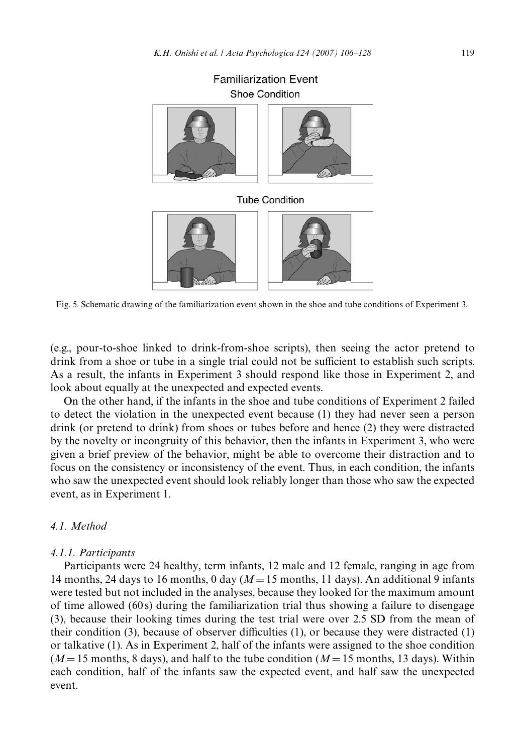



Fig. 5. Schematic drawing of the familiarization event shown in the shoe and tube conditions of Experiment 3.

<span id="page-13-0"></span>(e.g., pour-to-shoe linked to drink-from-shoe scripts), then seeing the actor pretend to drink from a shoe or tube in a single trial could not be sufficient to establish such scripts. As a result, the infants in Experiment 3 should respond like those in Experiment 2, and look about equally at the unexpected and expected events.

On the other hand, if the infants in the shoe and tube conditions of Experiment 2 failed to detect the violation in the unexpected event because (1) they had never seen a person drink (or pretend to drink) from shoes or tubes before and hence (2) they were distracted by the novelty or incongruity of this behavior, then the infants in Experiment 3, who were given a brief preview of the behavior, might be able to overcome their distraction and to focus on the consistency or inconsistency of the event. Thus, in each condition, the infants who saw the unexpected event should look reliably longer than those who saw the expected event, as in Experiment 1.

## *4.1. Method*

#### *4.1.1. Participants*

Participants were 24 healthy, term infants, 12 male and 12 female, ranging in age from 14 months, 24 days to 16 months, 0 day  $(M = 15$  months, 11 days). An additional 9 infants were tested but not included in the analyses, because they looked for the maximum amount of time allowed (60 s) during the familiarization trial thus showing a failure to disengage (3), because their looking times during the test trial were over 2.5 SD from the mean of their condition (3), because of observer difficulties  $(1)$ , or because they were distracted  $(1)$ or talkative (1). As in Experiment 2, half of the infants were assigned to the shoe condition  $(M=15$  months, 8 days), and half to the tube condition  $(M=15$  months, 13 days). Within each condition, half of the infants saw the expected event, and half saw the unexpected event.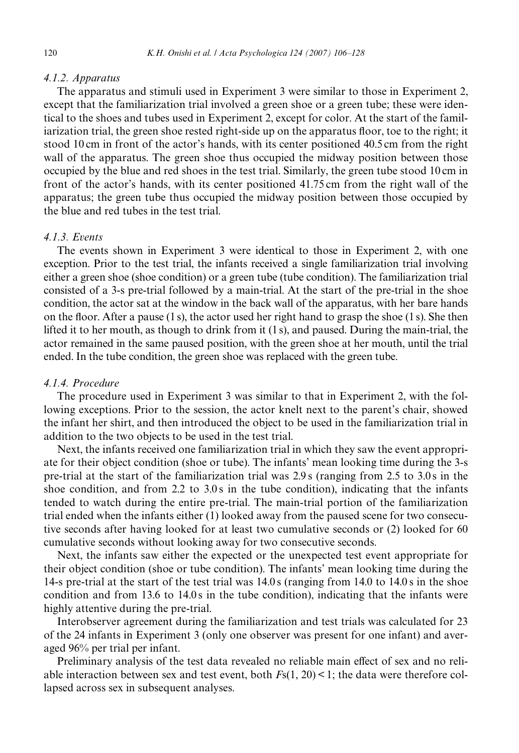#### *4.1.2. Apparatus*

The apparatus and stimuli used in Experiment 3 were similar to those in Experiment 2, except that the familiarization trial involved a green shoe or a green tube; these were identical to the shoes and tubes used in Experiment 2, except for color. At the start of the familiarization trial, the green shoe rested right-side up on the apparatus floor, toe to the right; it stood 10 cm in front of the actor's hands, with its center positioned 40.5 cm from the right wall of the apparatus. The green shoe thus occupied the midway position between those occupied by the blue and red shoes in the test trial. Similarly, the green tube stood 10 cm in front of the actor's hands, with its center positioned 41.75 cm from the right wall of the apparatus; the green tube thus occupied the midway position between those occupied by the blue and red tubes in the test trial.

# *4.1.3. Events*

The events shown in Experiment 3 were identical to those in Experiment 2, with one exception. Prior to the test trial, the infants received a single familiarization trial involving either a green shoe (shoe condition) or a green tube (tube condition). The familiarization trial consisted of a 3-s pre-trial followed by a main-trial. At the start of the pre-trial in the shoe condition, the actor sat at the window in the back wall of the apparatus, with her bare hands on the floor. After a pause  $(1 s)$ , the actor used her right hand to grasp the shoe  $(1 s)$ . She then lifted it to her mouth, as though to drink from it (1 s), and paused. During the main-trial, the actor remained in the same paused position, with the green shoe at her mouth, until the trial ended. In the tube condition, the green shoe was replaced with the green tube.

#### *4.1.4. Procedure*

The procedure used in Experiment 3 was similar to that in Experiment 2, with the following exceptions. Prior to the session, the actor knelt next to the parent's chair, showed the infant her shirt, and then introduced the object to be used in the familiarization trial in addition to the two objects to be used in the test trial.

Next, the infants received one familiarization trial in which they saw the event appropriate for their object condition (shoe or tube). The infants' mean looking time during the 3-s pre-trial at the start of the familiarization trial was 2.9 s (ranging from 2.5 to 3.0 s in the shoe condition, and from 2.2 to 3.0 s in the tube condition), indicating that the infants tended to watch during the entire pre-trial. The main-trial portion of the familiarization trial ended when the infants either (1) looked away from the paused scene for two consecutive seconds after having looked for at least two cumulative seconds or (2) looked for 60 cumulative seconds without looking away for two consecutive seconds.

Next, the infants saw either the expected or the unexpected test event appropriate for their object condition (shoe or tube condition). The infants' mean looking time during the 14-s pre-trial at the start of the test trial was 14.0 s (ranging from 14.0 to 14.0 s in the shoe condition and from 13.6 to 14.0 s in the tube condition), indicating that the infants were highly attentive during the pre-trial.

Interobserver agreement during the familiarization and test trials was calculated for 23 of the 24 infants in Experiment 3 (only one observer was present for one infant) and averaged 96% per trial per infant.

Preliminary analysis of the test data revealed no reliable main effect of sex and no reliable interaction between sex and test event, both  $F<sub>S</sub>(1, 20) < 1$ ; the data were therefore collapsed across sex in subsequent analyses.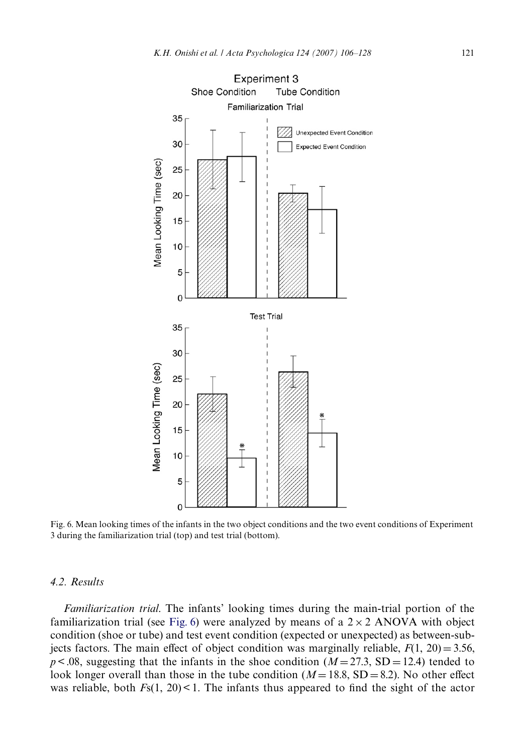

<span id="page-15-0"></span>Fig. 6. Mean looking times of the infants in the two object conditions and the two event conditions of Experiment 3 during the familiarization trial (top) and test trial (bottom).

# *4.2. Results*

*Familiarization trial*. The infants' looking times during the main-trial portion of the familiarization trial (see [Fig. 6](#page-15-0)) were analyzed by means of a  $2 \times 2$  ANOVA with object condition (shoe or tube) and test event condition (expected or unexpected) as between-subjects factors. The main effect of object condition was marginally reliable,  $F(1, 20) = 3.56$ ,  $p < .08$ , suggesting that the infants in the shoe condition ( $M = 27.3$ , SD = 12.4) tended to look longer overall than those in the tube condition  $(M=18.8, SD=8.2)$ . No other effect was reliable, both  $F_5(1, 20)$  < 1. The infants thus appeared to find the sight of the actor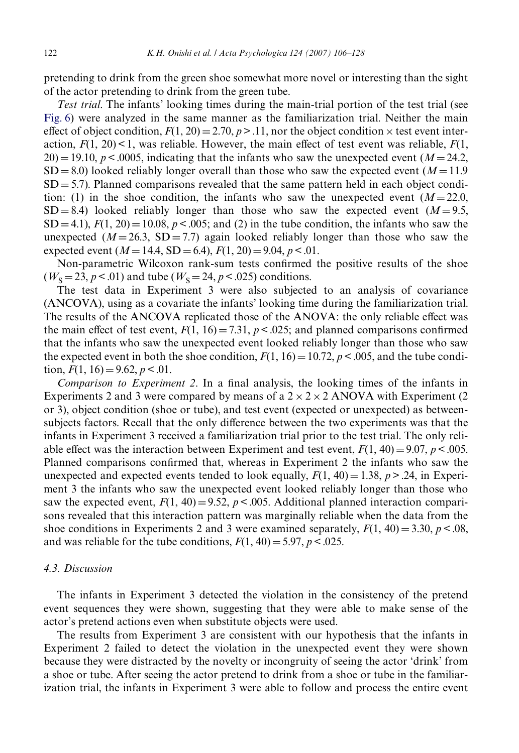pretending to drink from the green shoe somewhat more novel or interesting than the sight of the actor pretending to drink from the green tube.

*Test trial*. The infants' looking times during the main-trial portion of the test trial (see [Fig. 6](#page-15-0)) were analyzed in the same manner as the familiarization trial. Neither the main effect of object condition,  $F(1, 20) = 2.70$ ,  $p > 0.11$ , nor the object condition  $\times$  test event interaction,  $F(1, 20) < 1$ , was reliable. However, the main effect of test event was reliable,  $F(1, 20)$  $20$ ) = 19.10, *p* < .0005, indicating that the infants who saw the unexpected event (*M* = 24.2,  $SD = 8.0$ ) looked reliably longer overall than those who saw the expected event ( $M = 11.9$ )  $SD = 5.7$ ). Planned comparisons revealed that the same pattern held in each object condition: (1) in the shoe condition, the infants who saw the unexpected event  $(M=22.0,$  $SD = 8.4$ ) looked reliably longer than those who saw the expected event  $(M = 9.5$ ,  $SD = 4.1$ ,  $F(1, 20) = 10.08$ ,  $p < .005$ ; and (2) in the tube condition, the infants who saw the unexpected  $(M=26.3, SD=7.7)$  again looked reliably longer than those who saw the expected event  $(M = 14.4, SD = 6.4)$ ,  $F(1, 20) = 9.04$ ,  $p < 0.01$ .

Non-parametric Wilcoxon rank-sum tests confirmed the positive results of the shoe  $(W<sub>S</sub> = 23, p < .01)$  and tube  $(W<sub>S</sub> = 24, p < .025)$  conditions.

The test data in Experiment 3 were also subjected to an analysis of covariance (ANCOVA), using as a covariate the infants' looking time during the familiarization trial. The results of the ANCOVA replicated those of the ANOVA: the only reliable effect was the main effect of test event,  $F(1, 16) = 7.31$ ,  $p < .025$ ; and planned comparisons confirmed that the infants who saw the unexpected event looked reliably longer than those who saw the expected event in both the shoe condition,  $F(1, 16) = 10.72$ ,  $p < .005$ , and the tube condition,  $F(1, 16) = 9.62, p < .01$ .

*Comparison to Experiment 2.* In a final analysis, the looking times of the infants in Experiments 2 and 3 were compared by means of a  $2 \times 2 \times 2$  ANOVA with Experiment (2) or 3), object condition (shoe or tube), and test event (expected or unexpected) as betweensubjects factors. Recall that the only difference between the two experiments was that the infants in Experiment 3 received a familiarization trial prior to the test trial. The only reliable effect was the interaction between Experiment and test event,  $F(1, 40) = 9.07$ ,  $p < .005$ . Planned comparisons confirmed that, whereas in Experiment 2 the infants who saw the unexpected and expected events tended to look equally,  $F(1, 40) = 1.38$ ,  $p > .24$ , in Experiment 3 the infants who saw the unexpected event looked reliably longer than those who saw the expected event,  $F(1, 40) = 9.52$ ,  $p < .005$ . Additional planned interaction comparisons revealed that this interaction pattern was marginally reliable when the data from the shoe conditions in Experiments 2 and 3 were examined separately,  $F(1, 40) = 3.30$ ,  $p < .08$ , and was reliable for the tube conditions,  $F(1, 40) = 5.97$ ,  $p < .025$ .

#### *4.3. Discussion*

The infants in Experiment 3 detected the violation in the consistency of the pretend event sequences they were shown, suggesting that they were able to make sense of the actor's pretend actions even when substitute objects were used.

The results from Experiment 3 are consistent with our hypothesis that the infants in Experiment 2 failed to detect the violation in the unexpected event they were shown because they were distracted by the novelty or incongruity of seeing the actor 'drink' from a shoe or tube. After seeing the actor pretend to drink from a shoe or tube in the familiarization trial, the infants in Experiment 3 were able to follow and process the entire event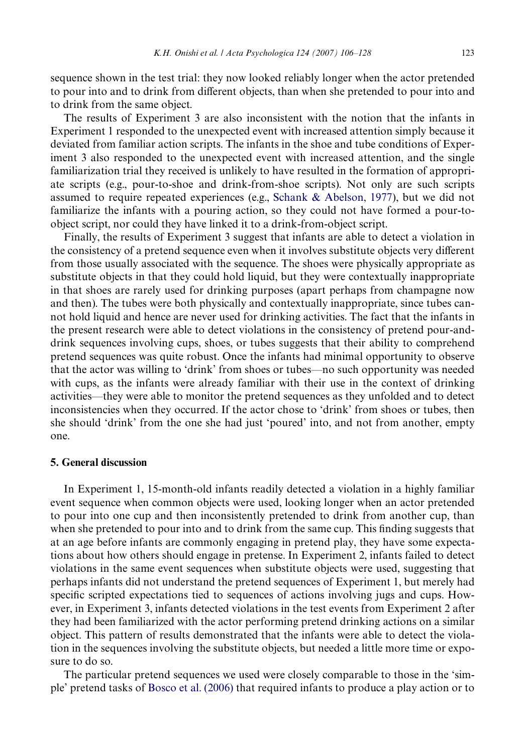sequence shown in the test trial: they now looked reliably longer when the actor pretended to pour into and to drink from different objects, than when she pretended to pour into and to drink from the same object.

The results of Experiment 3 are also inconsistent with the notion that the infants in Experiment 1 responded to the unexpected event with increased attention simply because it deviated from familiar action scripts. The infants in the shoe and tube conditions of Experiment 3 also responded to the unexpected event with increased attention, and the single familiarization trial they received is unlikely to have resulted in the formation of appropriate scripts (e.g., pour-to-shoe and drink-from-shoe scripts). Not only are such scripts assumed to require repeated experiences (e.g., [Schank & Abelson, 1977\)](#page-21-11), but we did not familiarize the infants with a pouring action, so they could not have formed a pour-toobject script, nor could they have linked it to a drink-from-object script.

Finally, the results of Experiment 3 suggest that infants are able to detect a violation in the consistency of a pretend sequence even when it involves substitute objects very different from those usually associated with the sequence. The shoes were physically appropriate as substitute objects in that they could hold liquid, but they were contextually inappropriate in that shoes are rarely used for drinking purposes (apart perhaps from champagne now and then). The tubes were both physically and contextually inappropriate, since tubes cannot hold liquid and hence are never used for drinking activities. The fact that the infants in the present research were able to detect violations in the consistency of pretend pour-anddrink sequences involving cups, shoes, or tubes suggests that their ability to comprehend pretend sequences was quite robust. Once the infants had minimal opportunity to observe that the actor was willing to 'drink' from shoes or tubes—no such opportunity was needed with cups, as the infants were already familiar with their use in the context of drinking activities—they were able to monitor the pretend sequences as they unfolded and to detect inconsistencies when they occurred. If the actor chose to 'drink' from shoes or tubes, then she should 'drink' from the one she had just 'poured' into, and not from another, empty one.

#### **5. General discussion**

In Experiment 1, 15-month-old infants readily detected a violation in a highly familiar event sequence when common objects were used, looking longer when an actor pretended to pour into one cup and then inconsistently pretended to drink from another cup, than when she pretended to pour into and to drink from the same cup. This finding suggests that at an age before infants are commonly engaging in pretend play, they have some expectations about how others should engage in pretense. In Experiment 2, infants failed to detect violations in the same event sequences when substitute objects were used, suggesting that perhaps infants did not understand the pretend sequences of Experiment 1, but merely had specific scripted expectations tied to sequences of actions involving jugs and cups. However, in Experiment 3, infants detected violations in the test events from Experiment 2 after they had been familiarized with the actor performing pretend drinking actions on a similar object. This pattern of results demonstrated that the infants were able to detect the violation in the sequences involving the substitute objects, but needed a little more time or exposure to do so.

The particular pretend sequences we used were closely comparable to those in the 'simple' pretend tasks of [Bosco et al. \(2006\)](#page-20-3) that required infants to produce a play action or to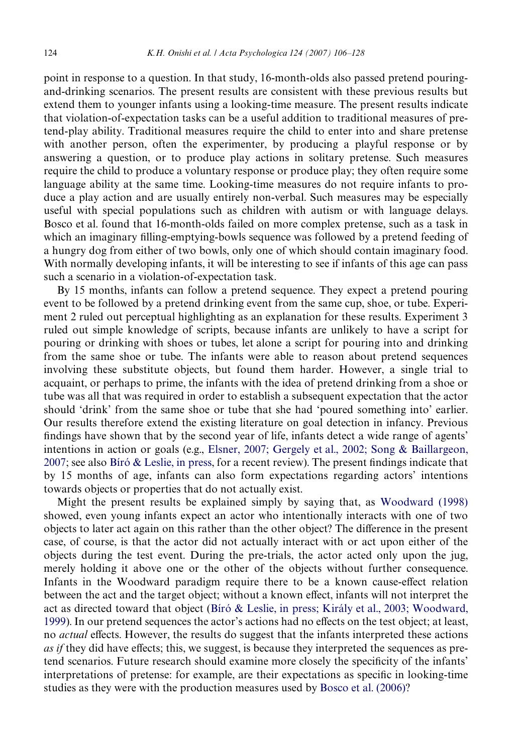point in response to a question. In that study, 16-month-olds also passed pretend pouringand-drinking scenarios. The present results are consistent with these previous results but extend them to younger infants using a looking-time measure. The present results indicate that violation-of-expectation tasks can be a useful addition to traditional measures of pretend-play ability. Traditional measures require the child to enter into and share pretense with another person, often the experimenter, by producing a playful response or by answering a question, or to produce play actions in solitary pretense. Such measures require the child to produce a voluntary response or produce play; they often require some language ability at the same time. Looking-time measures do not require infants to produce a play action and are usually entirely non-verbal. Such measures may be especially useful with special populations such as children with autism or with language delays. Bosco et al. found that 16-month-olds failed on more complex pretense, such as a task in which an imaginary filling-emptying-bowls sequence was followed by a pretend feeding of a hungry dog from either of two bowls, only one of which should contain imaginary food. With normally developing infants, it will be interesting to see if infants of this age can pass such a scenario in a violation-of-expectation task.

By 15 months, infants can follow a pretend sequence. They expect a pretend pouring event to be followed by a pretend drinking event from the same cup, shoe, or tube. Experiment 2 ruled out perceptual highlighting as an explanation for these results. Experiment 3 ruled out simple knowledge of scripts, because infants are unlikely to have a script for pouring or drinking with shoes or tubes, let alone a script for pouring into and drinking from the same shoe or tube. The infants were able to reason about pretend sequences involving these substitute objects, but found them harder. However, a single trial to acquaint, or perhaps to prime, the infants with the idea of pretend drinking from a shoe or tube was all that was required in order to establish a subsequent expectation that the actor should 'drink' from the same shoe or tube that she had 'poured something into' earlier. Our results therefore extend the existing literature on goal detection in infancy. Previous findings have shown that by the second year of life, infants detect a wide range of agents' intentions in action or goals (e.g., [Elsner, 2007; Gergely et al., 2002; Song & Baillargeon,](#page-20-11)  $2007$ ; see also [Bíró & Leslie, in press](#page-20-0), for a recent review). The present findings indicate that by 15 months of age, infants can also form expectations regarding actors' intentions towards objects or properties that do not actually exist.

Might the present results be explained simply by saying that, as [Woodward \(1998\)](#page-22-0) showed, even young infants expect an actor who intentionally interacts with one of two objects to later act again on this rather than the other object? The difference in the present case, of course, is that the actor did not actually interact with or act upon either of the objects during the test event. During the pre-trials, the actor acted only upon the jug, merely holding it above one or the other of the objects without further consequence. Infants in the Woodward paradigm require there to be a known cause-effect relation between the act and the target object; without a known effect, infants will not interpret the act as directed toward that object ([Bíró & Leslie, in press; Király et al., 2003; Woodward,](#page-20-0) [1999\)](#page-20-0). In our pretend sequences the actor's actions had no effects on the test object; at least, no *actual* effects. However, the results do suggest that the infants interpreted these actions *as if* they did have effects; this, we suggest, is because they interpreted the sequences as pretend scenarios. Future research should examine more closely the specificity of the infants' interpretations of pretense: for example, are their expectations as specific in looking-time studies as they were with the production measures used by [Bosco et al. \(2006\)](#page-20-3)?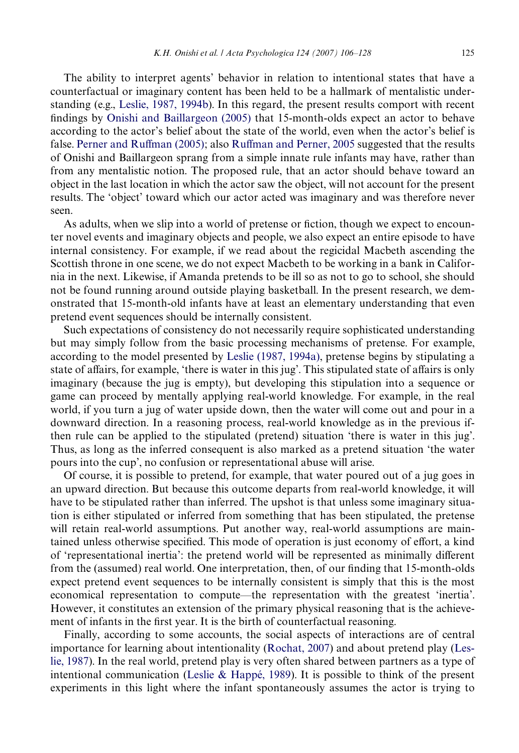The ability to interpret agents' behavior in relation to intentional states that have a counterfactual or imaginary content has been held to be a hallmark of mentalistic understanding (e.g., [Leslie, 1987, 1994b\)](#page-21-2). In this regard, the present results comport with recent findings by Onishi and Baillargeon  $(2005)$  that 15-month-olds expect an actor to behave according to the actor's belief about the state of the world, even when the actor's belief is false. [Perner and Ru](#page-21-7)ff[man \(2005\);](#page-21-7) also [Ru](#page-21-9)ff[man and Perner, 2005](#page-21-9) suggested that the results of Onishi and Baillargeon sprang from a simple innate rule infants may have, rather than from any mentalistic notion. The proposed rule, that an actor should behave toward an object in the last location in which the actor saw the object, will not account for the present results. The 'object' toward which our actor acted was imaginary and was therefore never seen.

As adults, when we slip into a world of pretense or fiction, though we expect to encounter novel events and imaginary objects and people, we also expect an entire episode to have internal consistency. For example, if we read about the regicidal Macbeth ascending the Scottish throne in one scene, we do not expect Macbeth to be working in a bank in California in the next. Likewise, if Amanda pretends to be ill so as not to go to school, she should not be found running around outside playing basketball. In the present research, we demonstrated that 15-month-old infants have at least an elementary understanding that even pretend event sequences should be internally consistent.

Such expectations of consistency do not necessarily require sophisticated understanding but may simply follow from the basic processing mechanisms of pretense. For example, according to the model presented by [Leslie \(1987, 1994a\),](#page-21-2) pretense begins by stipulating a state of affairs, for example, 'there is water in this jug'. This stipulated state of affairs is only imaginary (because the jug is empty), but developing this stipulation into a sequence or game can proceed by mentally applying real-world knowledge. For example, in the real world, if you turn a jug of water upside down, then the water will come out and pour in a downward direction. In a reasoning process, real-world knowledge as in the previous ifthen rule can be applied to the stipulated (pretend) situation 'there is water in this jug'. Thus, as long as the inferred consequent is also marked as a pretend situation 'the water pours into the cup', no confusion or representational abuse will arise.

Of course, it is possible to pretend, for example, that water poured out of a jug goes in an upward direction. But because this outcome departs from real-world knowledge, it will have to be stipulated rather than inferred. The upshot is that unless some imaginary situation is either stipulated or inferred from something that has been stipulated, the pretense will retain real-world assumptions. Put another way, real-world assumptions are maintained unless otherwise specified. This mode of operation is just economy of effort, a kind of 'representational inertia': the pretend world will be represented as minimally different from the (assumed) real world. One interpretation, then, of our finding that 15-month-olds expect pretend event sequences to be internally consistent is simply that this is the most economical representation to compute—the representation with the greatest 'inertia'. However, it constitutes an extension of the primary physical reasoning that is the achievement of infants in the first year. It is the birth of counterfactual reasoning.

Finally, according to some accounts, the social aspects of interactions are of central importance for learning about intentionality [\(Rochat, 2007](#page-21-12)) and about pretend play [\(Les](#page-21-2)[lie, 1987](#page-21-2)). In the real world, pretend play is very often shared between partners as a type of intentional communication ([Leslie & Happé, 1989](#page-21-13)). It is possible to think of the present experiments in this light where the infant spontaneously assumes the actor is trying to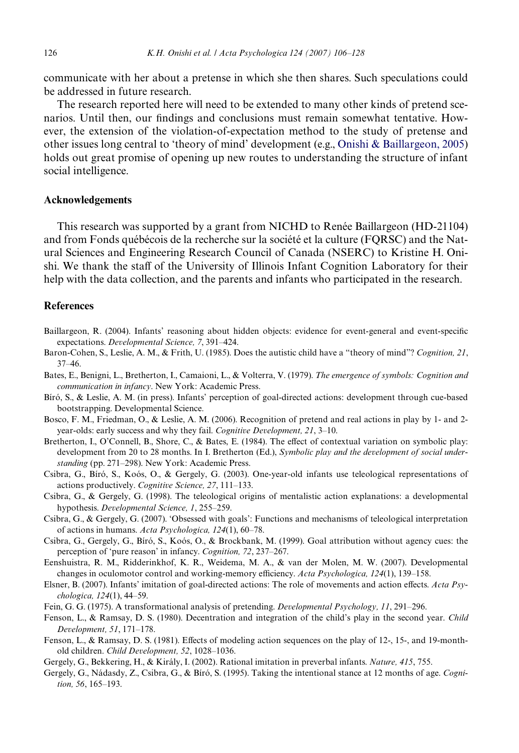communicate with her about a pretense in which she then shares. Such speculations could be addressed in future research.

The research reported here will need to be extended to many other kinds of pretend scenarios. Until then, our findings and conclusions must remain somewhat tentative. However, the extension of the violation-of-expectation method to the study of pretense and other issues long central to 'theory of mind' development (e.g., [Onishi & Baillargeon, 2005](#page-21-6)) holds out great promise of opening up new routes to understanding the structure of infant social intelligence.

## **Acknowledgements**

This research was supported by a grant from NICHD to Renée Baillargeon (HD-21104) and from Fonds québécois de la recherche sur la société et la culture (FQRSC) and the Natural Sciences and Engineering Research Council of Canada (NSERC) to Kristine H. Onishi. We thank the staff of the University of Illinois Infant Cognition Laboratory for their help with the data collection, and the parents and infants who participated in the research.

## **References**

- <span id="page-20-4"></span>Baillargeon, R. (2004). Infants' reasoning about hidden objects: evidence for event-general and event-specific expectations. *Developmental Science, 7*, 391–424.
- <span id="page-20-7"></span>Baron-Cohen, S., Leslie, A. M., & Frith, U. (1985). Does the autistic child have a "theory of mind"? *Cognition, 21*, 37–46.
- <span id="page-20-2"></span>Bates, E., Benigni, L., Bretherton, I., Camaioni, L., & Volterra, V. (1979). *The emergence of symbols: Cognition and communication in infancy*. New York: Academic Press.
- <span id="page-20-0"></span>Bíró, S., & Leslie, A. M. (in press). Infants' perception of goal-directed actions: development through cue-based bootstrapping. Developmental Science.
- <span id="page-20-3"></span>Bosco, F. M., Friedman, O., & Leslie, A. M. (2006). Recognition of pretend and real actions in play by 1- and 2 year-olds: early success and why they fail. *Cognitive Development, 21*, 3–10.
- <span id="page-20-10"></span>Bretherton, I., O'Connell, B., Shore, C., & Bates, E. (1984). The effect of contextual variation on symbolic play: development from 20 to 28 months. In I. Bretherton (Ed.), *Symbolic play and the development of social understanding* (pp. 271–298). New York: Academic Press.
- Csibra, G., Bíró, S., Koós, O., & Gergely, G. (2003). One-year-old infants use teleological representations of actions productively. *Cognitive Science, 27*, 111–133.
- <span id="page-20-6"></span>Csibra, G., & Gergely, G. (1998). The teleological origins of mentalistic action explanations: a developmental hypothesis. *Developmental Science, 1*, 255–259.
- <span id="page-20-1"></span>Csibra, G., & Gergely, G. (2007). 'Obsessed with goals': Functions and mechanisms of teleological interpretation of actions in humans. *Acta Psychologica, 124*(1), 60–78.
- Csibra, G., Gergely, G., Bíró, S., Koós, O., & Brockbank, M. (1999). Goal attribution without agency cues: the perception of 'pure reason' in infancy. *Cognition, 72*, 237–267.
- <span id="page-20-9"></span>Eenshuistra, R. M., Ridderinkhof, K. R., Weidema, M. A., & van der Molen, M. W. (2007). Developmental changes in oculomotor control and working-memory efficiency. Acta Psychologica, 124(1), 139–158.
- <span id="page-20-11"></span>Elsner, B. (2007). Infants' imitation of goal-directed actions: The role of movements and action effects. *Acta Psychologica, 124*(1), 44–59.
- <span id="page-20-8"></span>Fein, G. G. (1975). A transformational analysis of pretending. *Developmental Psychology, 11*, 291–296.
- Fenson, L., & Ramsay, D. S. (1980). Decentration and integration of the child's play in the second year. *Child Development, 51*, 171–178.
- <span id="page-20-5"></span>Fenson, L., & Ramsay, D. S. (1981). Effects of modeling action sequences on the play of 12-, 15-, and 19-monthold children. *Child Development, 52*, 1028–1036.
- Gergely, G., Bekkering, H., & Király, I. (2002). Rational imitation in preverbal infants. *Nature, 415*, 755.
- Gergely, G., Nádasdy, Z., Csibra, G., & Bíró, S. (1995). Taking the intentional stance at 12 months of age. *Cognition, 56*, 165–193.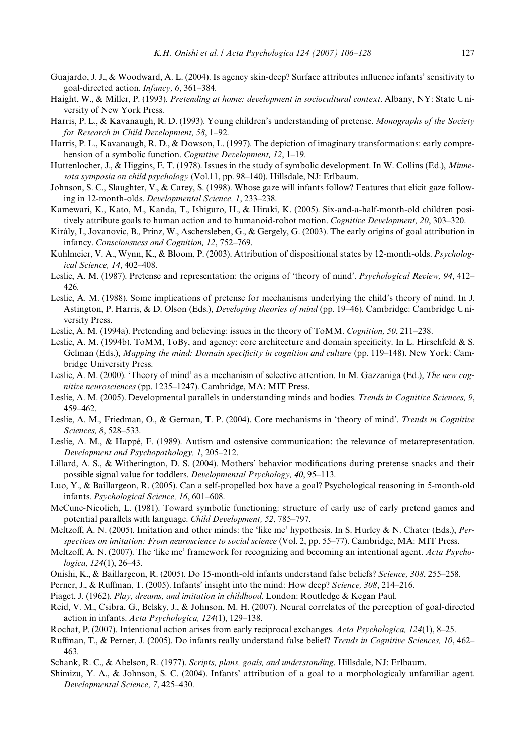- <span id="page-21-0"></span>Guajardo, J. J., & Woodward, A. L. (2004). Is agency skin-deep? Surface attributes influence infants' sensitivity to goal-directed action. *Infancy, 6*, 361–384.
- Haight, W., & Miller, P. (1993). *Pretending at home: development in sociocultural context*. Albany, NY: State University of New York Press.
- Harris, P. L., & Kavanaugh, R. D. (1993). Young children's understanding of pretense. *Monographs of the Society for Research in Child Development, 58*, 1–92.
- Harris, P. L., Kavanaugh, R. D., & Dowson, L. (1997). The depiction of imaginary transformations: early comprehension of a symbolic function. *Cognitive Development, 12*, 1–19.
- Huttenlocher, J., & Higgins, E. T. (1978). Issues in the study of symbolic development. In W. Collins (Ed.), *Minnesota symposia on child psychology* (Vol.11, pp. 98–140). Hillsdale, NJ: Erlbaum.
- Johnson, S. C., Slaughter, V., & Carey, S. (1998). Whose gaze will infants follow? Features that elicit gaze following in 12-month-olds. *Developmental Science, 1*, 233–238.
- Kamewari, K., Kato, M., Kanda, T., Ishiguro, H., & Hiraki, K. (2005). Six-and-a-half-month-old children positively attribute goals to human action and to humanoid-robot motion. *Cognitive Development, 20*, 303–320.
- Király, I., Jovanovic, B., Prinz, W., Aschersleben, G., & Gergely, G. (2003). The early origins of goal attribution in infancy. *Consciousness and Cognition, 12*, 752–769.
- Kuhlmeier, V. A., Wynn, K., & Bloom, P. (2003). Attribution of dispositional states by 12-month-olds. *Psychological Science, 14*, 402–408.
- <span id="page-21-2"></span>Leslie, A. M. (1987). Pretense and representation: the origins of 'theory of mind'. *Psychological Review, 94*, 412– 426.
- Leslie, A. M. (1988). Some implications of pretense for mechanisms underlying the child's theory of mind. In J. Astington, P. Harris, & D. Olson (Eds.), *Developing theories of mind* (pp. 19–46). Cambridge: Cambridge University Press.
- Leslie, A. M. (1994a). Pretending and believing: issues in the theory of ToMM. *Cognition, 50*, 211–238.
- Leslie, A. M. (1994b). ToMM, ToBy, and agency: core architecture and domain specificity. In L. Hirschfeld  $\&$  S. Gelman (Eds.), *Mapping the mind: Domain specificity in cognition and culture* (pp. 119–148). New York: Cambridge University Press.
- Leslie, A. M. (2000). 'Theory of mind' as a mechanism of selective attention. In M. Gazzaniga (Ed.), *The new cognitive neurosciences* (pp. 1235–1247). Cambridge, MA: MIT Press.
- <span id="page-21-8"></span>Leslie, A. M. (2005). Developmental parallels in understanding minds and bodies. *Trends in Cognitive Sciences, 9*, 459–462.
- Leslie, A. M., Friedman, O., & German, T. P. (2004). Core mechanisms in 'theory of mind'. *Trends in Cognitive Sciences, 8*, 528–533.
- <span id="page-21-13"></span>Leslie, A. M., & Happé, F. (1989). Autism and ostensive communication: the relevance of metarepresentation. *Development and Psychopathology, 1*, 205–212.
- <span id="page-21-5"></span>Lillard, A. S., & Witherington, D. S. (2004). Mothers' behavior modifications during pretense snacks and their possible signal value for toddlers. *Developmental Psychology, 40*, 95–113.
- <span id="page-21-1"></span>Luo, Y., & Baillargeon, R. (2005). Can a self-propelled box have a goal? Psychological reasoning in 5-month-old infants. *Psychological Science, 16*, 601–608.
- McCune-Nicolich, L. (1981). Toward symbolic functioning: structure of early use of early pretend games and potential parallels with language. *Child Development, 52*, 785–797.
- <span id="page-21-3"></span>Meltzoff, A. N. (2005). Imitation and other minds: the 'like me' hypothesis. In S. Hurley & N. Chater (Eds.), *Perspectives on imitation: From neuroscience to social science* (Vol. 2, pp. 55–77). Cambridge, MA: MIT Press.
- Meltzoff, A. N. (2007). The 'like me' framework for recognizing and becoming an intentional agent. *Acta Psychologica, 124*(1), 26–43.
- <span id="page-21-6"></span>Onishi, K., & Baillargeon, R. (2005). Do 15-month-old infants understand false beliefs? *Science, 308*, 255–258.
- <span id="page-21-7"></span>Perner, J., & Ruffman, T. (2005). Infants' insight into the mind: How deep? *Science, 308*, 214–216.
- <span id="page-21-4"></span>Piaget, J. (1962). *Play, dreams, and imitation in childhood*. London: Routledge & Kegan Paul.
- <span id="page-21-10"></span>Reid, V. M., Csibra, G., Belsky, J., & Johnson, M. H. (2007). Neural correlates of the perception of goal-directed action in infants. *Acta Psychologica, 124*(1), 129–138.
- <span id="page-21-12"></span>Rochat, P. (2007). Intentional action arises from early reciprocal exchanges. *Acta Psychologica, 124*(1), 8–25.
- <span id="page-21-9"></span>Ruffman, T., & Perner, J. (2005). Do infants really understand false belief? *Trends in Cognitive Sciences*, 10, 462– 463.
- <span id="page-21-11"></span>Schank, R. C., & Abelson, R. (1977). *Scripts, plans, goals, and understanding*. Hillsdale, NJ: Erlbaum.
- Shimizu, Y. A., & Johnson, S. C. (2004). Infants' attribution of a goal to a morphologicaly unfamiliar agent. *Developmental Science, 7*, 425–430.